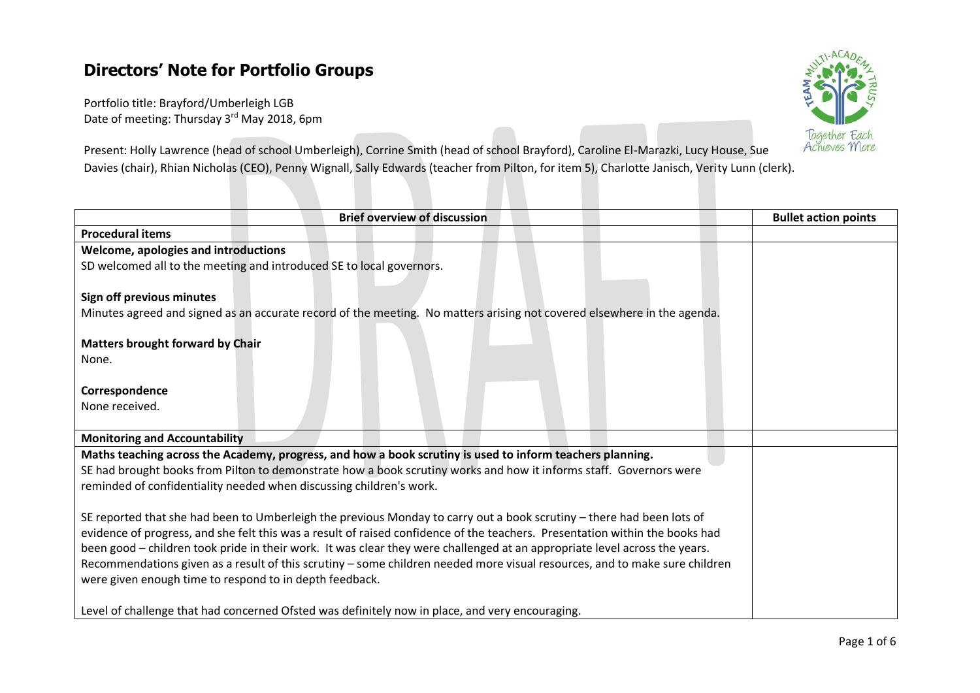# **Directors' Note for Portfolio Groups**

Portfolio title: Brayford/Umberleigh LGB Date of meeting: Thursday 3<sup>rd</sup> May 2018, 6pm



Present: Holly Lawrence (head of school Umberleigh), Corrine Smith (head of school Brayford), Caroline El-Marazki, Lucy House, Sue Davies (chair), Rhian Nicholas (CEO), Penny Wignall, Sally Edwards (teacher from Pilton, for item 5), Charlotte Janisch, Verity Lunn (clerk).

| <b>Brief overview of discussion</b>                                                                                          | <b>Bullet action points</b> |
|------------------------------------------------------------------------------------------------------------------------------|-----------------------------|
| <b>Procedural items</b>                                                                                                      |                             |
| Welcome, apologies and introductions                                                                                         |                             |
| SD welcomed all to the meeting and introduced SE to local governors.                                                         |                             |
| Sign off previous minutes                                                                                                    |                             |
| Minutes agreed and signed as an accurate record of the meeting. No matters arising not covered elsewhere in the agenda.      |                             |
|                                                                                                                              |                             |
| <b>Matters brought forward by Chair</b>                                                                                      |                             |
| None.                                                                                                                        |                             |
|                                                                                                                              |                             |
| Correspondence                                                                                                               |                             |
| None received.                                                                                                               |                             |
|                                                                                                                              |                             |
| <b>Monitoring and Accountability</b>                                                                                         |                             |
| Maths teaching across the Academy, progress, and how a book scrutiny is used to inform teachers planning.                    |                             |
| SE had brought books from Pilton to demonstrate how a book scrutiny works and how it informs staff. Governors were           |                             |
| reminded of confidentiality needed when discussing children's work.                                                          |                             |
| SE reported that she had been to Umberleigh the previous Monday to carry out a book scrutiny - there had been lots of        |                             |
| evidence of progress, and she felt this was a result of raised confidence of the teachers. Presentation within the books had |                             |
| been good - children took pride in their work. It was clear they were challenged at an appropriate level across the years.   |                             |
| Recommendations given as a result of this scrutiny - some children needed more visual resources, and to make sure children   |                             |
| were given enough time to respond to in depth feedback.                                                                      |                             |
|                                                                                                                              |                             |
| Level of challenge that had concerned Ofsted was definitely now in place, and very encouraging.                              |                             |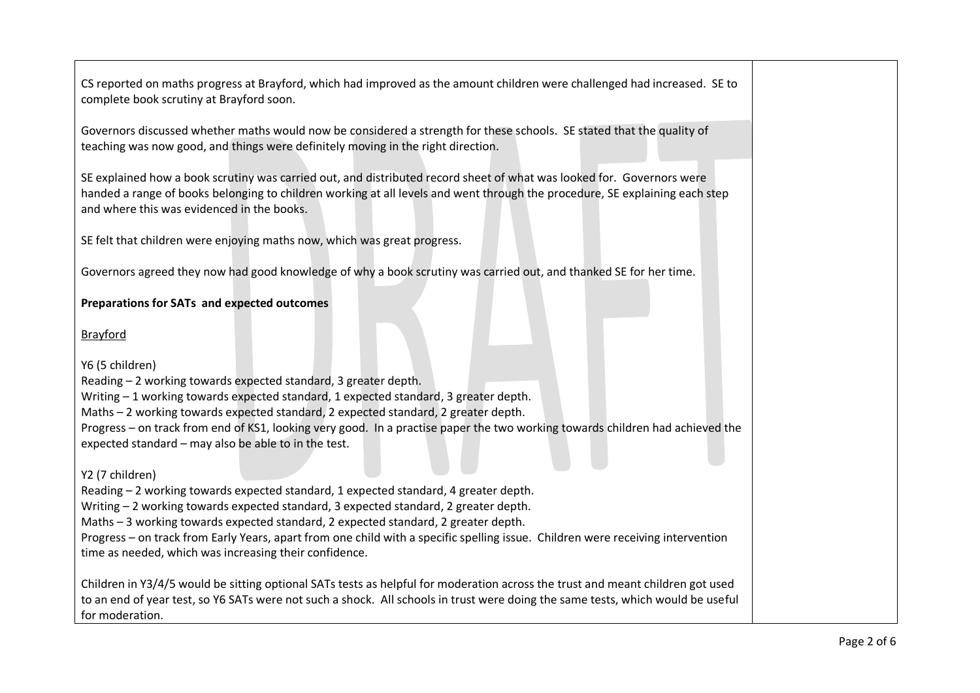CS reported on maths progress at Brayford, which had improved as the amount children were challenged had increased. SE to complete book scrutiny at Brayford soon.

Governors discussed whether maths would now be considered a strength for these schools. SE stated that the quality of teaching was now good, and things were definitely moving in the right direction.

SE explained how a book scrutiny was carried out, and distributed record sheet of what was looked for. Governors were handed a range of books belonging to children working at all levels and went through the procedure, SE explaining each step and where this was evidenced in the books.

SE felt that children were enjoying maths now, which was great progress.

Governors agreed they now had good knowledge of why a book scrutiny was carried out, and thanked SE for her time.

### **Preparations for SATs and expected outcomes**

Brayford

Y6 (5 children) Reading – 2 working towards expected standard, 3 greater depth. Writing – 1 working towards expected standard, 1 expected standard, 3 greater depth. Maths – 2 working towards expected standard, 2 expected standard, 2 greater depth. Progress – on track from end of KS1, looking very good. In a practise paper the two working towards children had achieved the expected standard – may also be able to in the test.

Y2 (7 children)

Reading – 2 working towards expected standard, 1 expected standard, 4 greater depth.

Writing – 2 working towards expected standard, 3 expected standard, 2 greater depth.

Maths – 3 working towards expected standard, 2 expected standard, 2 greater depth.

Progress – on track from Early Years, apart from one child with a specific spelling issue. Children were receiving intervention time as needed, which was increasing their confidence.

Children in Y3/4/5 would be sitting optional SATs tests as helpful for moderation across the trust and meant children got used to an end of year test, so Y6 SATs were not such a shock. All schools in trust were doing the same tests, which would be useful for moderation.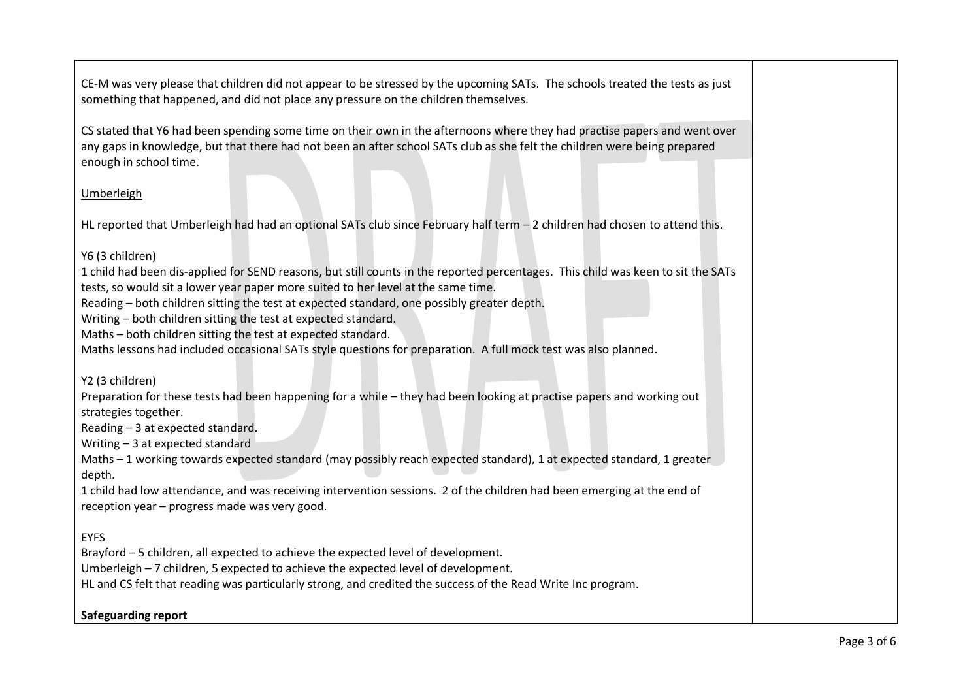CE-M was very please that children did not appear to be stressed by the upcoming SATs. The schools treated the tests as just something that happened, and did not place any pressure on the children themselves.

CS stated that Y6 had been spending some time on their own in the afternoons where they had practise papers and went over any gaps in knowledge, but that there had not been an after school SATs club as she felt the children were being prepared enough in school time.

### Umberleigh

HL reported that Umberleigh had had an optional SATs club since February half term – 2 children had chosen to attend this.

### Y6 (3 children)

1 child had been dis-applied for SEND reasons, but still counts in the reported percentages. This child was keen to sit the SATs tests, so would sit a lower year paper more suited to her level at the same time.

Reading – both children sitting the test at expected standard, one possibly greater depth.

Writing – both children sitting the test at expected standard.

Maths – both children sitting the test at expected standard.

Maths lessons had included occasional SATs style questions for preparation. A full mock test was also planned.

Y2 (3 children)

Preparation for these tests had been happening for a while – they had been looking at practise papers and working out strategies together.

Reading – 3 at expected standard.

Writing – 3 at expected standard

Maths – 1 working towards expected standard (may possibly reach expected standard), 1 at expected standard, 1 greater depth.

1 child had low attendance, and was receiving intervention sessions. 2 of the children had been emerging at the end of reception year – progress made was very good.

## EYFS

Brayford – 5 children, all expected to achieve the expected level of development.

Umberleigh – 7 children, 5 expected to achieve the expected level of development.

HL and CS felt that reading was particularly strong, and credited the success of the Read Write Inc program.

**Safeguarding report**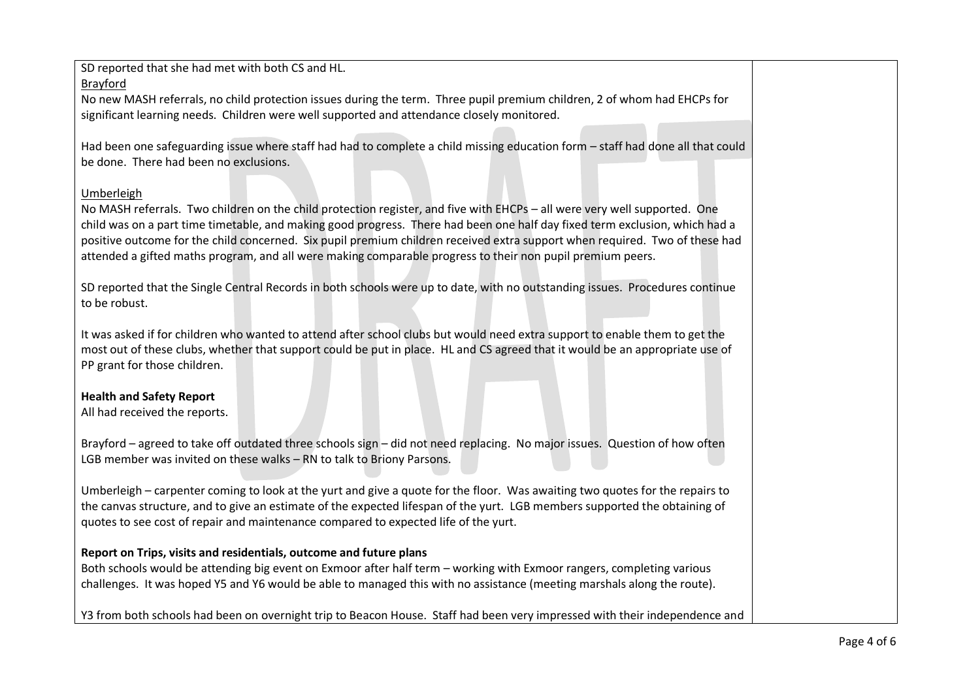SD reported that she had met with both CS and HL.

Brayford

No new MASH referrals, no child protection issues during the term. Three pupil premium children, 2 of whom had EHCPs for significant learning needs. Children were well supported and attendance closely monitored.

Had been one safeguarding issue where staff had had to complete a child missing education form – staff had done all that could be done. There had been no exclusions.

## Umberleigh

No MASH referrals. Two children on the child protection register, and five with EHCPs – all were very well supported. One child was on a part time timetable, and making good progress. There had been one half day fixed term exclusion, which had a positive outcome for the child concerned. Six pupil premium children received extra support when required. Two of these had attended a gifted maths program, and all were making comparable progress to their non pupil premium peers.

SD reported that the Single Central Records in both schools were up to date, with no outstanding issues. Procedures continue to be robust.

It was asked if for children who wanted to attend after school clubs but would need extra support to enable them to get the most out of these clubs, whether that support could be put in place. HL and CS agreed that it would be an appropriate use of PP grant for those children.

# **Health and Safety Report**

All had received the reports.

Brayford – agreed to take off outdated three schools sign – did not need replacing. No major issues. Question of how often LGB member was invited on these walks – RN to talk to Briony Parsons.

Umberleigh – carpenter coming to look at the yurt and give a quote for the floor. Was awaiting two quotes for the repairs to the canvas structure, and to give an estimate of the expected lifespan of the yurt. LGB members supported the obtaining of quotes to see cost of repair and maintenance compared to expected life of the yurt.

# **Report on Trips, visits and residentials, outcome and future plans**

Both schools would be attending big event on Exmoor after half term – working with Exmoor rangers, completing various challenges. It was hoped Y5 and Y6 would be able to managed this with no assistance (meeting marshals along the route).

Y3 from both schools had been on overnight trip to Beacon House. Staff had been very impressed with their independence and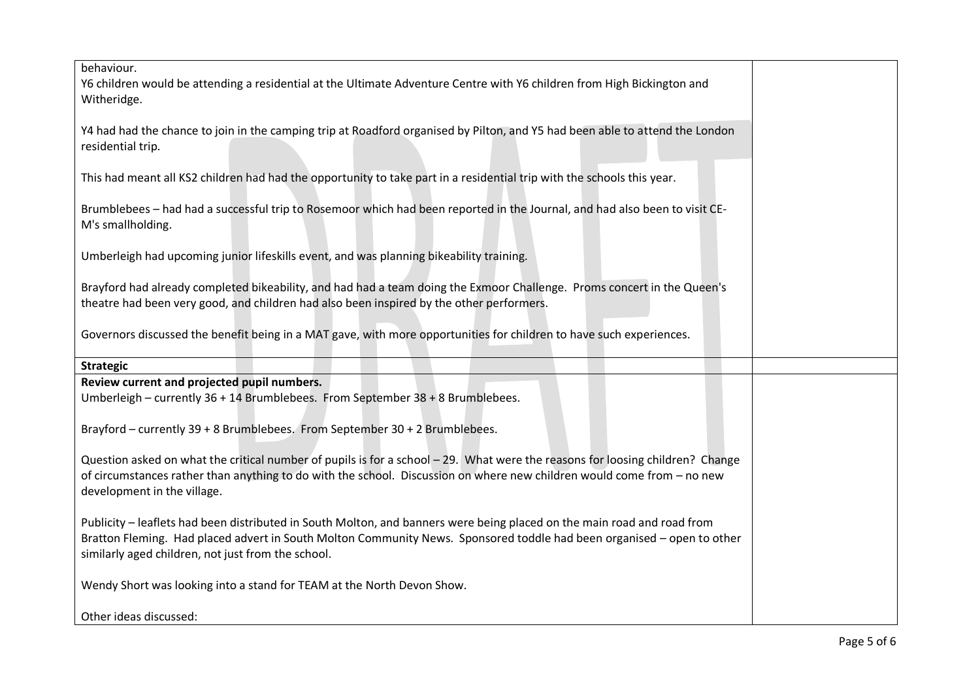| behaviour.<br>Y6 children would be attending a residential at the Ultimate Adventure Centre with Y6 children from High Bickington and<br>Witheridge.                                                                                                                                                    |  |
|---------------------------------------------------------------------------------------------------------------------------------------------------------------------------------------------------------------------------------------------------------------------------------------------------------|--|
| Y4 had had the chance to join in the camping trip at Roadford organised by Pilton, and Y5 had been able to attend the London<br>residential trip.                                                                                                                                                       |  |
| This had meant all KS2 children had had the opportunity to take part in a residential trip with the schools this year.                                                                                                                                                                                  |  |
| Brumblebees - had had a successful trip to Rosemoor which had been reported in the Journal, and had also been to visit CE-<br>M's smallholding.                                                                                                                                                         |  |
| Umberleigh had upcoming junior lifeskills event, and was planning bikeability training.                                                                                                                                                                                                                 |  |
| Brayford had already completed bikeability, and had had a team doing the Exmoor Challenge. Proms concert in the Queen's<br>theatre had been very good, and children had also been inspired by the other performers.                                                                                     |  |
| Governors discussed the benefit being in a MAT gave, with more opportunities for children to have such experiences.                                                                                                                                                                                     |  |
| <b>Strategic</b>                                                                                                                                                                                                                                                                                        |  |
| Review current and projected pupil numbers.                                                                                                                                                                                                                                                             |  |
| Umberleigh - currently 36 + 14 Brumblebees. From September 38 + 8 Brumblebees.                                                                                                                                                                                                                          |  |
| Brayford - currently 39 + 8 Brumblebees. From September 30 + 2 Brumblebees.                                                                                                                                                                                                                             |  |
| Question asked on what the critical number of pupils is for a school - 29. What were the reasons for loosing children? Change<br>of circumstances rather than anything to do with the school. Discussion on where new children would come from - no new<br>development in the village.                  |  |
| Publicity - leaflets had been distributed in South Molton, and banners were being placed on the main road and road from<br>Bratton Fleming. Had placed advert in South Molton Community News. Sponsored toddle had been organised - open to other<br>similarly aged children, not just from the school. |  |
| Wendy Short was looking into a stand for TEAM at the North Devon Show.                                                                                                                                                                                                                                  |  |
| Other ideas discussed:                                                                                                                                                                                                                                                                                  |  |